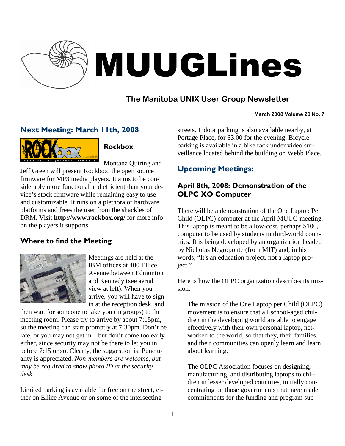

# MUUGLines

# **The Manitoba UNIX User Group Newsletter**

#### **March 2008 Volume 20 No. 7**

## Next Meeting: March 11th, 2008



## Rockbox

Montana Quiring and Jeff Green will present Rockbox, the open source firmware for MP3 media players. It aims to be considerably more functional and efficient than your device's stock firmware while remaining easy to use and customizable. It runs on a plethora of hardware platforms and frees the user from the shackles of DRM. Visit **<http://www.rockbox.org/>** for more info on the players it supports.

## Where to find the Meeting



Meetings are held at the IBM offices at 400 Ellice Avenue between Edmonton and Kennedy (see aerial view at left). When you arrive, you will have to sign in at the reception desk, and

then wait for someone to take you (in groups) to the meeting room. Please try to arrive by about 7:15pm, so the meeting can start promptly at 7:30pm. Don't be late, or you may not get in – but don't come too early either, since security may not be there to let you in before 7:15 or so. Clearly, the suggestion is: Punctuality is appreciated. *Non-members are welcome, but may be required to show photo ID at the security desk.*

Limited parking is available for free on the street, either on Ellice Avenue or on some of the intersecting

streets. Indoor parking is also available nearby, at Portage Place, for \$3.00 for the evening. Bicycle parking is available in a bike rack under video surveillance located behind the building on Webb Place.

# Upcoming Meetings:

## April 8th, 2008: Demonstration of the OLPC XO Computer

There will be a demonstration of the One Laptop Per Child (OLPC) computer at the April MUUG meeting. This laptop is meant to be a low-cost, perhaps \$100, computer to be used by students in third-world countries. It is being developed by an organization headed by Nicholas Negroponte (from MIT) and, in his words, "It's an education project, not a laptop project."

Here is how the OLPC organization describes its mission:

The mission of the One Laptop per Child (OLPC) movement is to ensure that all school-aged children in the developing world are able to engage effectively with their own personal laptop, networked to the world, so that they, their families and their communities can openly learn and learn about learning.

The OLPC Association focuses on designing, manufacturing, and distributing laptops to children in lesser developed countries, initially concentrating on those governments that have made commitments for the funding and program sup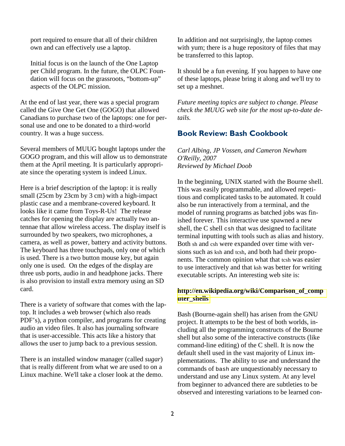port required to ensure that all of their children own and can effectively use a laptop.

Initial focus is on the launch of the One Laptop per Child program. In the future, the OLPC Foundation will focus on the grassroots, "bottom-up" aspects of the OLPC mission.

At the end of last year, there was a special program called the Give One Get One (GOGO) that allowed Canadians to purchase two of the laptops: one for personal use and one to be donated to a third-world country. It was a huge success.

Several members of MUUG bought laptops under the GOGO program, and this will allow us to demonstrate them at the April meeting. It is particularly appropriate since the operating system is indeed Linux.

Here is a brief description of the laptop: it is really small (25cm by 23cm by 3 cm) with a high-impact plastic case and a membrane-covered keyboard. It looks like it came from Toys-R-Us! The release catches for opening the display are actually two antennae that allow wireless access. The display itself is surrounded by two speakers, two microphones, a camera, as well as power, battery and activity buttons. The keyboard has three touchpads, only one of which is used. There is a two button mouse key, but again only one is used. On the edges of the display are three usb ports, audio in and headphone jacks. There is also provision to install extra memory using an SD card.

There is a variety of software that comes with the laptop. It includes a web browser (which also reads PDF's), a python compiler, and programs for creating audio an video files. It also has journaling software that is user-accessible. This acts like a history that allows the user to jump back to a previous session.

There is an installed window manager (called *sugar*) that is really different from what we are used to on a Linux machine. We'll take a closer look at the demo.

In addition and not surprisingly, the laptop comes with yum; there is a huge repository of files that may be transferred to this laptop.

It should be a fun evening. If you happen to have one of these laptops, please bring it along and we'll try to set up a meshnet.

*Future meeting topics are subject to change. Please check the MUUG web site for the most up-to-date details.* 

### Book Review: Bash Cookbook

*Carl Albing, JP Vossen, and Cameron Newham O'Reilly, 2007 Reviewed by Michael Doob* 

In the beginning, UNIX started with the Bourne shell. This was easily programmable, and allowed repetitious and complicated tasks to be automated. It could also be run interactively from a terminal, and the model of running programs as batched jobs was finished forever. This interactive use spawned a new shell, the C shell csh that was designed to facilitate terminal inputting with tools such as alias and history. Both sh and csh were expanded over time with versions such as ksh and tcsh, and both had their proponents. The common opinion what that tcsh was easier to use interactively and that ksh was better for writing executable scripts. An interesting web site is:

#### **[http://en.wikipedia.org/wiki/Comparison\\_of\\_comp](http://en.wikipedia.org/wiki/Comparison_of_computer_shells) [uter\\_shells](http://en.wikipedia.org/wiki/Comparison_of_computer_shells)**

Bash (Bourne-again shell) has arisen from the GNU project. It attempts to be the best of both worlds, including all the programming constructs of the Bourne shell but also some of the interactive constructs (like command-line editing) of the C shell. It is now the default shell used in the vast majority of Linux implementations. The ability to use and understand the commands of bash are unquestionably necessary to understand and use any Linux system. At any level from beginner to advanced there are subtleties to be observed and interesting variations to be learned con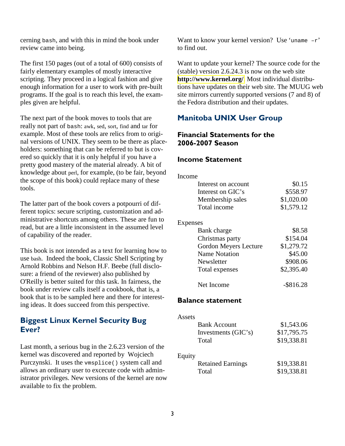cerning bash, and with this in mind the book under review came into being.

The first 150 pages (out of a total of 600) consists of fairly elementary examples of mostly interactive scripting. They proceed in a logical fashion and give enough information for a user to work with pre-built programs. If the goal is to reach this level, the examples given are helpful.

The next part of the book moves to tools that are really not part of bash: awk, sed, sort, find and tar for example. Most of these tools are relics from to original versions of UNIX. They seem to be there as placeholders: something that can be referred to but is covered so quickly that it is only helpful if you have a pretty good mastery of the material already. A bit of knowledge about perl, for example, (to be fair, beyond the scope of this book) could replace many of these tools.

The latter part of the book covers a potpourri of different topics: secure scripting, customization and administrative shortcuts among others. These are fun to read, but are a little inconsistent in the assumed level of capability of the reader.

This book is not intended as a text for learning how to use bash. Indeed the book, Classic Shell Scripting by Arnold Robbins and Nelson H.F. Beebe (full disclosure: a friend of the reviewer) also published by O'Reilly is better suited for this task. In fairness, the book under review calls itself a cookbook, that is, a book that is to be sampled here and there for interesting ideas. It does succeed from this perspective.

## Biggest Linux Kernel Security Bug Ever?

Last month, a serious bug in the 2.6.23 version of the kernel was discovered and reported by Wojciech Purczynski. It uses the vmsplice() system call and allows an ordinary user to excecute code with administrator privileges. New versions of the kernel are now available to fix the problem.

Want to know your kernel version? Use 'uname  $-r$ ' to find out.

Want to update your kernel? The source code for the (stable) version 2.6.24.3 is now on the web site **<http://www.kernel.org/>**. Most individual distributions have updates on their web site. The MUUG web site mirrors currently supported versions (7 and 8) of the Fedora distribution and their updates.

## Manitoba UNIX User Group

## Financial Statements for the 2006-2007 Season

#### Income Statement

| Income                   |              |
|--------------------------|--------------|
| Interest on account      | \$0.15       |
| Interest on GIC's        | \$558.97     |
| Membership sales         | \$1,020.00   |
| Total income             | \$1,579.12   |
| Expenses                 |              |
| Bank charge              | \$8.58       |
| Christmas party          | \$154.04     |
| Gordon Meyers Lecture    | \$1,279.72   |
| <b>Name Notation</b>     | \$45.00      |
| Newsletter               | \$908.06     |
| Total expenses           | \$2,395.40   |
| Net Income               | $-$ \$816.28 |
| <b>Balance statement</b> |              |

| Assets |                          |             |
|--------|--------------------------|-------------|
|        | <b>Bank Account</b>      | \$1,543.06  |
|        | Investments (GIC's)      | \$17,795.75 |
|        | Total                    | \$19,338.81 |
| Equity |                          |             |
|        | <b>Retained Earnings</b> | \$19,338.81 |
|        | Total                    | \$19,338.81 |